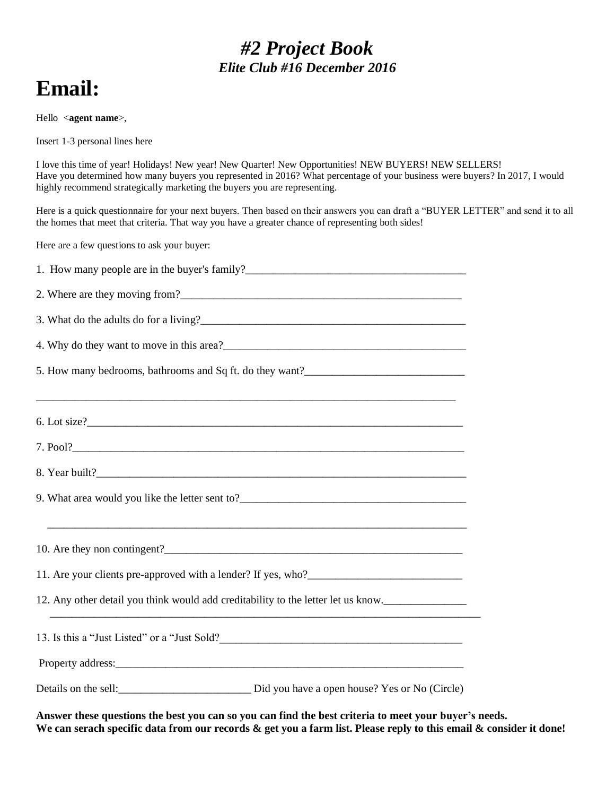### *#2 Project Book Elite Club #16 December 2016*

# **Email:**

Hello <**agent name**>,

Insert 1-3 personal lines here

I love this time of year! Holidays! New year! New Quarter! New Opportunities! NEW BUYERS! NEW SELLERS! Have you determined how many buyers you represented in 2016? What percentage of your business were buyers? In 2017, I would highly recommend strategically marketing the buyers you are representing.

Here is a quick questionnaire for your next buyers. Then based on their answers you can draft a "BUYER LETTER" and send it to all the homes that meet that criteria. That way you have a greater chance of representing both sides!

Here are a few questions to ask your buyer:

| 1. How many people are in the buyer's family?<br><u>Letting and the surface of the surface of the surface of the surface of the surface of the surface of the surface of the surface of the surface of the surface of the surface </u> |
|----------------------------------------------------------------------------------------------------------------------------------------------------------------------------------------------------------------------------------------|
|                                                                                                                                                                                                                                        |
|                                                                                                                                                                                                                                        |
|                                                                                                                                                                                                                                        |
|                                                                                                                                                                                                                                        |
|                                                                                                                                                                                                                                        |
|                                                                                                                                                                                                                                        |
|                                                                                                                                                                                                                                        |
|                                                                                                                                                                                                                                        |
| 9. What area would you like the letter sent to?__________________________________                                                                                                                                                      |
| <u> 1989 - Johann Barbara, marka marka masjid aka masjid aka masjid aka masjid aka masjid aka masjid aka masjid a</u>                                                                                                                  |
|                                                                                                                                                                                                                                        |
|                                                                                                                                                                                                                                        |
| 12. Any other detail you think would add creditability to the letter let us know.                                                                                                                                                      |
| 13. Is this a "Just Listed" or a "Just Sold?                                                                                                                                                                                           |
|                                                                                                                                                                                                                                        |
| Details on the sell:<br><u>Did</u> you have a open house? Yes or No (Circle)                                                                                                                                                           |

**Answer these questions the best you can so you can find the best criteria to meet your buyer's needs. We can serach specific data from our records & get you a farm list. Please reply to this email & consider it done!**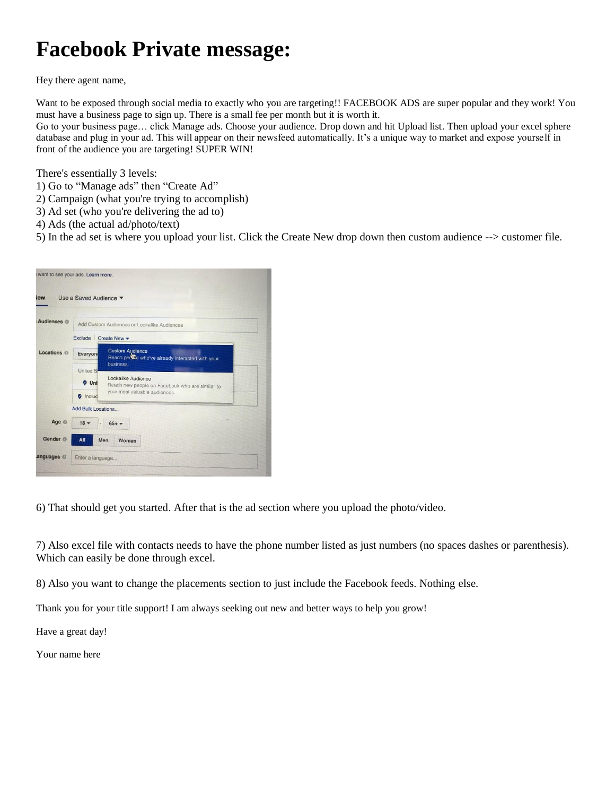# **Facebook Private message:**

Hey there agent name,

Want to be exposed through social media to exactly who you are targeting!! FACEBOOK ADS are super popular and they work! You must have a business page to sign up. There is a small fee per month but it is worth it. Go to your business page… click Manage ads. Choose your audience. Drop down and hit Upload list. Then upload your excel sphere

database and plug in your ad. This will appear on their newsfeed automatically. It's a unique way to market and expose yourself in front of the audience you are targeting! SUPER WIN!

There's essentially 3 levels:

- 1) Go to "Manage ads" then "Create Ad"
- 2) Campaign (what you're trying to accomplish)
- 3) Ad set (who you're delivering the ad to)
- 4) Ads (the actual ad/photo/text)

5) In the ad set is where you upload your list. Click the Create New drop down then custom audience --> customer file.



6) That should get you started. After that is the ad section where you upload the photo/video.

7) Also excel file with contacts needs to have the phone number listed as just numbers (no spaces dashes or parenthesis). Which can easily be done through excel.

8) Also you want to change the placements section to just include the Facebook feeds. Nothing else.

Thank you for your title support! I am always seeking out new and better ways to help you grow!

Have a great day!

Your name here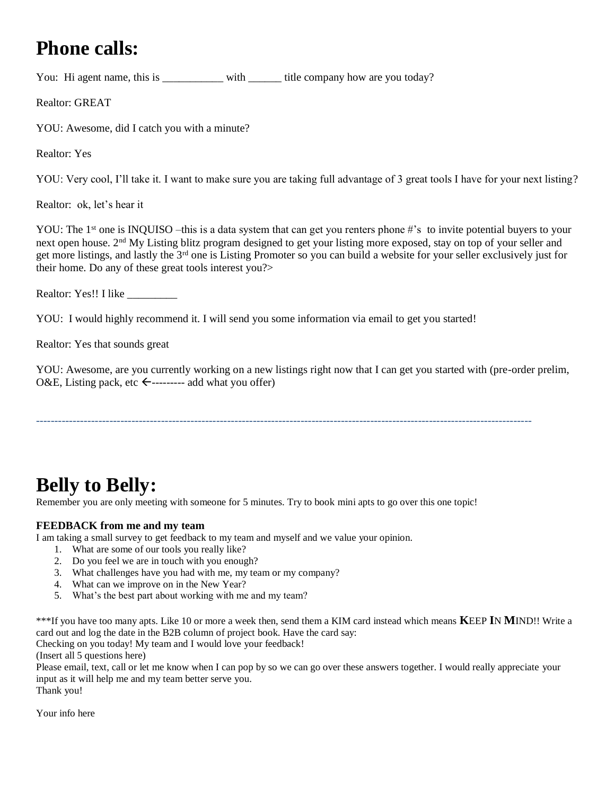### **Phone calls:**

You: Hi agent name, this is \_\_\_\_\_\_\_\_\_\_\_ with \_\_\_\_\_\_ title company how are you today?

Realtor: GREAT

YOU: Awesome, did I catch you with a minute?

Realtor: Yes

YOU: Very cool, I'll take it. I want to make sure you are taking full advantage of 3 great tools I have for your next listing?

Realtor: ok, let's hear it

YOU: The 1<sup>st</sup> one is INQUISO –this is a data system that can get you renters phone #'s to invite potential buyers to your next open house. 2nd My Listing blitz program designed to get your listing more exposed, stay on top of your seller and get more listings, and lastly the 3<sup>rd</sup> one is Listing Promoter so you can build a website for your seller exclusively just for their home. Do any of these great tools interest you?>

Realtor: Yes!! I like \_\_\_\_\_\_\_\_\_

YOU: I would highly recommend it. I will send you some information via email to get you started!

Realtor: Yes that sounds great

YOU: Awesome, are you currently working on a new listings right now that I can get you started with (pre-order prelim, O&E, Listing pack, etc  $\leftarrow$ ---------- add what you offer)

---------------------------------------------------------------------------------------------------------------------------------------

### **Belly to Belly:**

Remember you are only meeting with someone for 5 minutes. Try to book mini apts to go over this one topic!

#### **FEEDBACK from me and my team**

I am taking a small survey to get feedback to my team and myself and we value your opinion.

- 1. What are some of our tools you really like?
- 2. Do you feel we are in touch with you enough?
- 3. What challenges have you had with me, my team or my company?
- 4. What can we improve on in the New Year?
- 5. What's the best part about working with me and my team?

\*\*\*If you have too many apts. Like 10 or more a week then, send them a KIM card instead which means **K**EEP **I**N **M**IND!! Write a card out and log the date in the B2B column of project book. Have the card say: Checking on you today! My team and I would love your feedback!

(Insert all 5 questions here)

Please email, text, call or let me know when I can pop by so we can go over these answers together. I would really appreciate your input as it will help me and my team better serve you.

Thank you!

Your info here